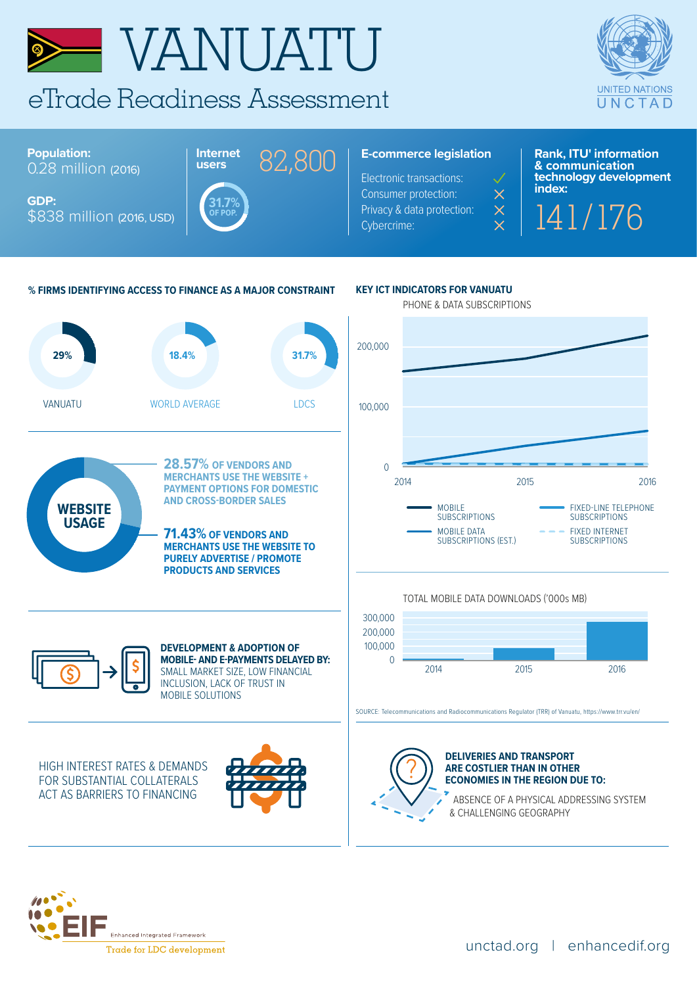

& CHALLENGING GEOGRAPHY